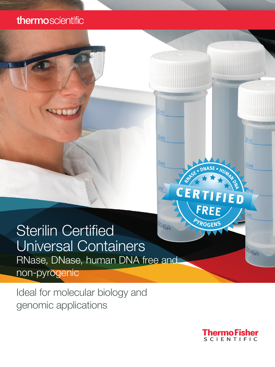# thermoscientific

# **Sterilin Certified**  $046P$ Universal Containers RNase, DNase, human DNA free and

non-pyrogenic

Ideal for molecular biology and genomic applications



**<sup>P</sup>YROGEN<sup>S</sup>**

FRE

**R R D NASE** • H

 $20 m1$ 

 $\frac{15}{10}$ 

 $\overline{\mathfrak{m}}$ 

 $046P$ 

 $20m1$ 

 $\frac{15}{m}$ 

 $10m1$ 

CERTIFIED CERTIFIED